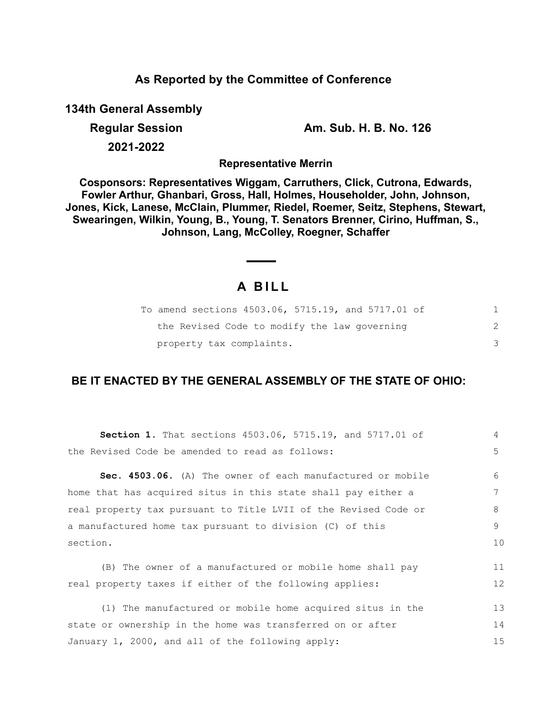## **As Reported by the Committee of Conference**

**134th General Assembly**

**Regular Session Am. Sub. H. B. No. 126**

**2021-2022**

**Representative Merrin**

**Cosponsors: Representatives Wiggam, Carruthers, Click, Cutrona, Edwards, Fowler Arthur, Ghanbari, Gross, Hall, Holmes, Householder, John, Johnson, Jones, Kick, Lanese, McClain, Plummer, Riedel, Roemer, Seitz, Stephens, Stewart, Swearingen, Wilkin, Young, B., Young, T. Senators Brenner, Cirino, Huffman, S., Johnson, Lang, McColley, Roegner, Schaffer**

# **A B I L L**

| To amend sections 4503.06, 5715.19, and 5717.01 of |  |
|----------------------------------------------------|--|
| the Revised Code to modify the law governing       |  |
| property tax complaints.                           |  |

## **BE IT ENACTED BY THE GENERAL ASSEMBLY OF THE STATE OF OHIO:**

| Section 1. That sections 4503.06, 5715.19, and 5717.01 of       | $\overline{4}$ |
|-----------------------------------------------------------------|----------------|
| the Revised Code be amended to read as follows:                 | 5              |
| Sec. 4503.06. (A) The owner of each manufactured or mobile      | 6              |
| home that has acquired situs in this state shall pay either a   | 7              |
| real property tax pursuant to Title LVII of the Revised Code or | 8              |
| a manufactured home tax pursuant to division (C) of this        | 9              |
| section.                                                        | 10             |
| (B) The owner of a manufactured or mobile home shall pay        | 11             |
| real property taxes if either of the following applies:         | 12             |
| (1) The manufactured or mobile home acquired situs in the       | 13             |
| state or ownership in the home was transferred on or after      | 14             |
| January 1, 2000, and all of the following apply:                | 15             |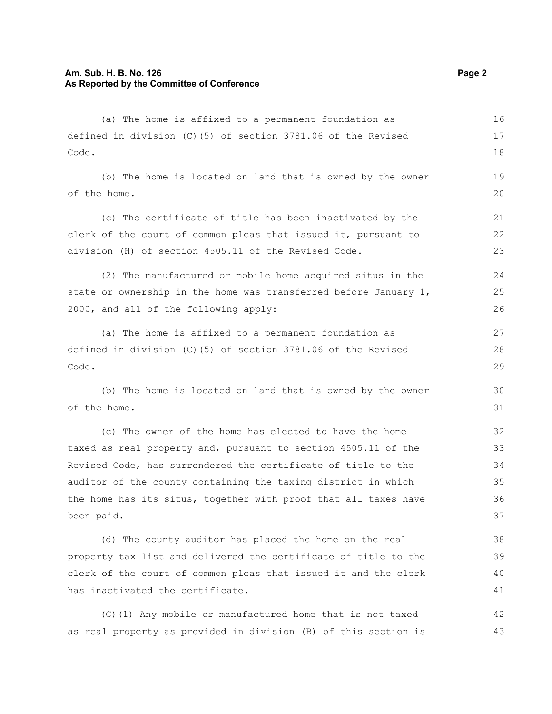#### **Am. Sub. H. B. No. 126 Page 2 Page 2 Page 2 Page 2 Page 2 As Reported by the Committee of Conference**

has inactivated the certificate.

(a) The home is affixed to a permanent foundation as defined in division (C)(5) of section 3781.06 of the Revised Code. (b) The home is located on land that is owned by the owner of the home. (c) The certificate of title has been inactivated by the clerk of the court of common pleas that issued it, pursuant to division (H) of section 4505.11 of the Revised Code. (2) The manufactured or mobile home acquired situs in the state or ownership in the home was transferred before January 1, 2000, and all of the following apply: (a) The home is affixed to a permanent foundation as defined in division (C)(5) of section 3781.06 of the Revised Code. (b) The home is located on land that is owned by the owner of the home. (c) The owner of the home has elected to have the home taxed as real property and, pursuant to section 4505.11 of the Revised Code, has surrendered the certificate of title to the auditor of the county containing the taxing district in which the home has its situs, together with proof that all taxes have been paid. (d) The county auditor has placed the home on the real property tax list and delivered the certificate of title to the clerk of the court of common pleas that issued it and the clerk 16 17 18 19 20 21 22 23  $24$ 25 26 27 28 29 30 31 32 33 34 35 36 37 38 39 40

(C)(1) Any mobile or manufactured home that is not taxed as real property as provided in division (B) of this section is 42 43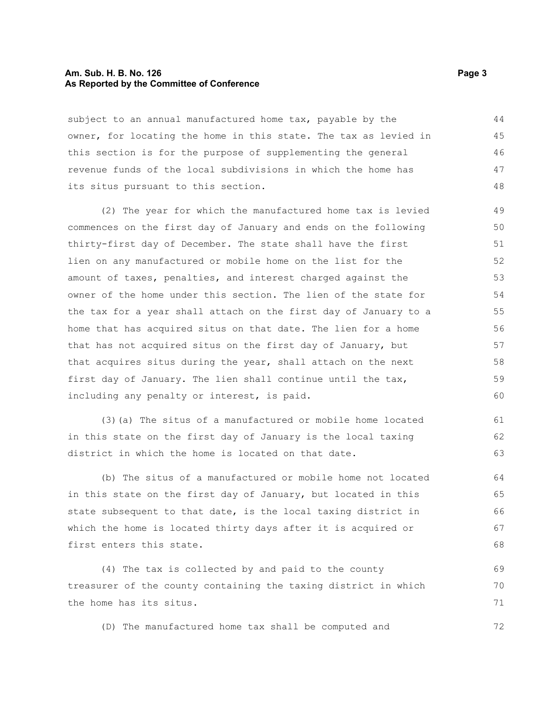#### **Am. Sub. H. B. No. 126 Page 3 As Reported by the Committee of Conference**

subject to an annual manufactured home tax, payable by the owner, for locating the home in this state. The tax as levied in this section is for the purpose of supplementing the general revenue funds of the local subdivisions in which the home has its situs pursuant to this section. 44 45 46 47 48

(2) The year for which the manufactured home tax is levied commences on the first day of January and ends on the following thirty-first day of December. The state shall have the first lien on any manufactured or mobile home on the list for the amount of taxes, penalties, and interest charged against the owner of the home under this section. The lien of the state for the tax for a year shall attach on the first day of January to a home that has acquired situs on that date. The lien for a home that has not acquired situs on the first day of January, but that acquires situs during the year, shall attach on the next first day of January. The lien shall continue until the tax, including any penalty or interest, is paid. 51 52 53 54 55 56 57

(3)(a) The situs of a manufactured or mobile home located in this state on the first day of January is the local taxing district in which the home is located on that date. 61 62 63

(b) The situs of a manufactured or mobile home not located in this state on the first day of January, but located in this state subsequent to that date, is the local taxing district in which the home is located thirty days after it is acquired or first enters this state. 64 65 66 67 68

(4) The tax is collected by and paid to the county treasurer of the county containing the taxing district in which the home has its situs.

(D) The manufactured home tax shall be computed and

49 50

58 59 60

69 70 71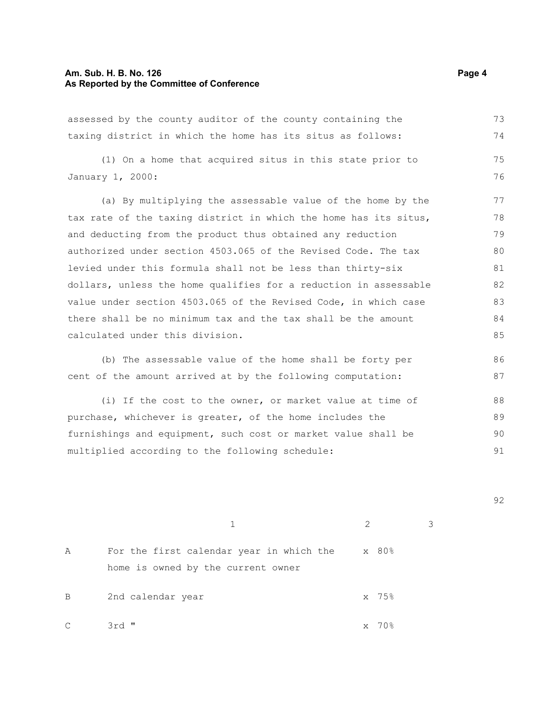## **Am. Sub. H. B. No. 126 Page 4 As Reported by the Committee of Conference**

| assessed by the county auditor of the county containing the      | 73 |
|------------------------------------------------------------------|----|
| taxing district in which the home has its situs as follows:      | 74 |
| (1) On a home that acquired situs in this state prior to         | 75 |
| January 1, 2000:                                                 | 76 |
| (a) By multiplying the assessable value of the home by the       | 77 |
| tax rate of the taxing district in which the home has its situs, | 78 |
| and deducting from the product thus obtained any reduction       | 79 |
| authorized under section 4503.065 of the Revised Code. The tax   | 80 |
| levied under this formula shall not be less than thirty-six      | 81 |
| dollars, unless the home qualifies for a reduction in assessable | 82 |
| value under section 4503.065 of the Revised Code, in which case  | 83 |
| there shall be no minimum tax and the tax shall be the amount    | 84 |
| calculated under this division.                                  | 85 |
| (b) The assessable value of the home shall be forty per          | 86 |
| cent of the amount arrived at by the following computation:      | 87 |
| (i) If the cost to the owner, or market value at time of         | 88 |
| purchase, whichever is greater, of the home includes the         | 89 |
| furnishings and equipment, such cost or market value shall be    | 90 |
| multiplied according to the following schedule:                  | 91 |
|                                                                  |    |
|                                                                  |    |

1 2 3

92

A For the first calendar year in which the home is owned by the current owner x 80% B 2nd calendar year 35%  $C$  3rd "  $X$  70%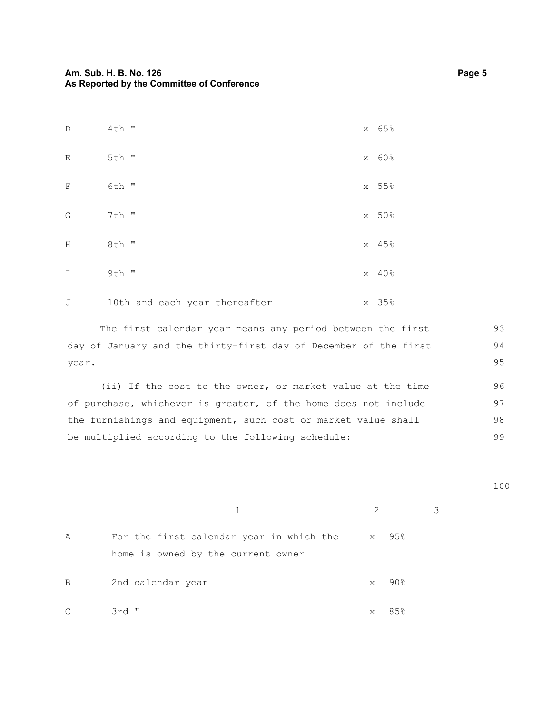| $\mathbb D$                 | $4th$ "                       | x 65% |
|-----------------------------|-------------------------------|-------|
| $\mathop{}\!\textnormal{E}$ | 5th "                         | x 60% |
| $\mathbf F$                 | 6th "                         | x 55% |
| G                           | 7th "                         | x 50% |
| Η                           | 8th "                         | x 45% |
| $\mathbf I$                 | 9th "                         | x 40% |
| J                           | 10th and each year thereafter | x 35% |

The first calendar year means any period between the first day of January and the thirty-first day of December of the first year. 93 94 95

(ii) If the cost to the owner, or market value at the time of purchase, whichever is greater, of the home does not include the furnishings and equipment, such cost or market value shall be multiplied according to the following schedule: 96 97 98 99

1 2 3

| Α  | For the first calendar year in which the |   | x 95% |
|----|------------------------------------------|---|-------|
|    | home is owned by the current owner       |   |       |
| В  | 2nd calendar year                        | X | -90%  |
| C. | 3rd "                                    | X | 85%   |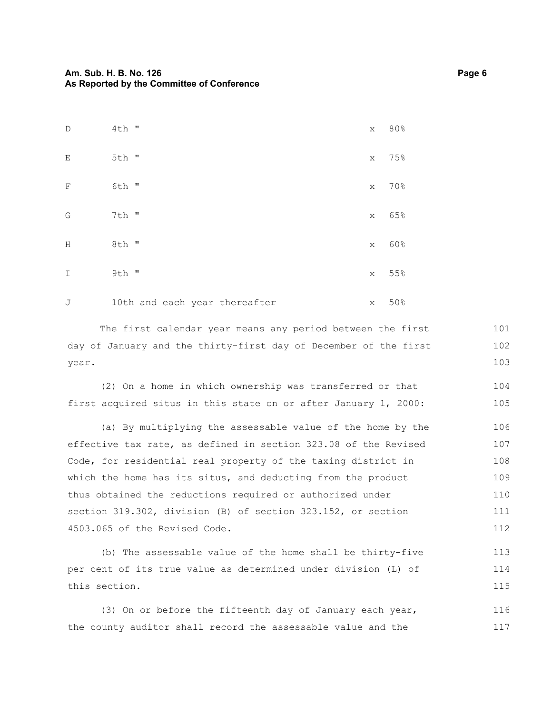| $\mathbb D$ | $4th$ "                       | X | 80% |
|-------------|-------------------------------|---|-----|
| Ε           | 5th "                         | X | 75% |
| $\mathbf F$ | 6th "                         | X | 70% |
| G           | 7th "                         | X | 65% |
| Η           | 8th "                         | X | 60% |
| $\mathbf I$ | $9th$ "                       | X | 55% |
| J           | 10th and each year thereafter | X | 50% |

The first calendar year means any period between the first day of January and the thirty-first day of December of the first year. 101 102 103

(2) On a home in which ownership was transferred or that first acquired situs in this state on or after January 1, 2000: 104 105

(a) By multiplying the assessable value of the home by the effective tax rate, as defined in section 323.08 of the Revised Code, for residential real property of the taxing district in which the home has its situs, and deducting from the product thus obtained the reductions required or authorized under section 319.302, division (B) of section 323.152, or section 4503.065 of the Revised Code. 106 107 108 109 110 111 112

(b) The assessable value of the home shall be thirty-five per cent of its true value as determined under division (L) of this section. 113 114 115

(3) On or before the fifteenth day of January each year, the county auditor shall record the assessable value and the 116 117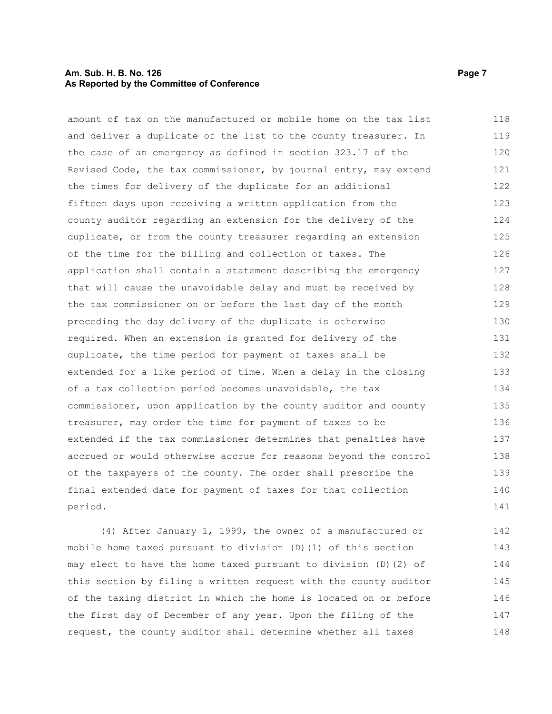#### **Am. Sub. H. B. No. 126 Page 7 Page 7 Page 7 Page 7 Page 7 As Reported by the Committee of Conference**

amount of tax on the manufactured or mobile home on the tax list and deliver a duplicate of the list to the county treasurer. In the case of an emergency as defined in section 323.17 of the Revised Code, the tax commissioner, by journal entry, may extend the times for delivery of the duplicate for an additional fifteen days upon receiving a written application from the county auditor regarding an extension for the delivery of the duplicate, or from the county treasurer regarding an extension of the time for the billing and collection of taxes. The application shall contain a statement describing the emergency that will cause the unavoidable delay and must be received by the tax commissioner on or before the last day of the month preceding the day delivery of the duplicate is otherwise required. When an extension is granted for delivery of the duplicate, the time period for payment of taxes shall be extended for a like period of time. When a delay in the closing of a tax collection period becomes unavoidable, the tax commissioner, upon application by the county auditor and county treasurer, may order the time for payment of taxes to be extended if the tax commissioner determines that penalties have accrued or would otherwise accrue for reasons beyond the control of the taxpayers of the county. The order shall prescribe the final extended date for payment of taxes for that collection period. 118 119 120 121 122 123 124 125 126 127 128 129 130 131 132 133 134 135 136 137 138 139 140 141

(4) After January 1, 1999, the owner of a manufactured or mobile home taxed pursuant to division (D)(1) of this section may elect to have the home taxed pursuant to division (D)(2) of this section by filing a written request with the county auditor of the taxing district in which the home is located on or before the first day of December of any year. Upon the filing of the request, the county auditor shall determine whether all taxes 142 143 144 145 146 147 148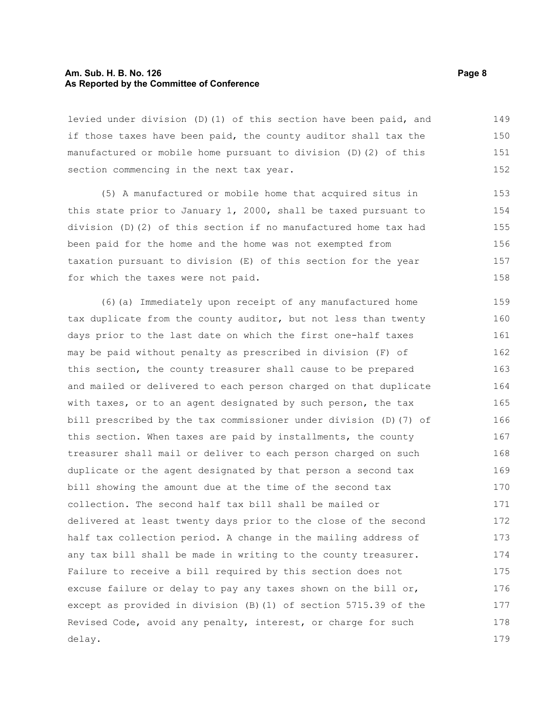#### **Am. Sub. H. B. No. 126 Page 8 As Reported by the Committee of Conference**

levied under division (D)(1) of this section have been paid, and if those taxes have been paid, the county auditor shall tax the manufactured or mobile home pursuant to division (D)(2) of this section commencing in the next tax year. 149 150 151 152

(5) A manufactured or mobile home that acquired situs in this state prior to January 1, 2000, shall be taxed pursuant to division (D)(2) of this section if no manufactured home tax had been paid for the home and the home was not exempted from taxation pursuant to division (E) of this section for the year for which the taxes were not paid.

(6)(a) Immediately upon receipt of any manufactured home tax duplicate from the county auditor, but not less than twenty days prior to the last date on which the first one-half taxes may be paid without penalty as prescribed in division (F) of this section, the county treasurer shall cause to be prepared and mailed or delivered to each person charged on that duplicate with taxes, or to an agent designated by such person, the tax bill prescribed by the tax commissioner under division (D)(7) of this section. When taxes are paid by installments, the county treasurer shall mail or deliver to each person charged on such duplicate or the agent designated by that person a second tax bill showing the amount due at the time of the second tax collection. The second half tax bill shall be mailed or delivered at least twenty days prior to the close of the second half tax collection period. A change in the mailing address of any tax bill shall be made in writing to the county treasurer. Failure to receive a bill required by this section does not excuse failure or delay to pay any taxes shown on the bill or, except as provided in division (B)(1) of section 5715.39 of the Revised Code, avoid any penalty, interest, or charge for such delay. 159 160 161 162 163 164 165 166 167 168 169 170 171 172 173 174 175 176 177 178 179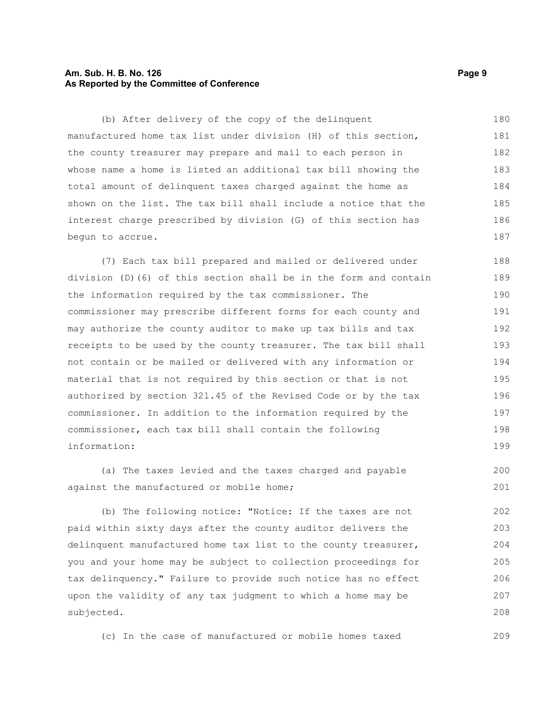#### **Am. Sub. H. B. No. 126 Page 9 As Reported by the Committee of Conference**

(b) After delivery of the copy of the delinquent manufactured home tax list under division (H) of this section, the county treasurer may prepare and mail to each person in whose name a home is listed an additional tax bill showing the total amount of delinquent taxes charged against the home as shown on the list. The tax bill shall include a notice that the interest charge prescribed by division (G) of this section has begun to accrue. 180 181 182 183 184 185 186 187

(7) Each tax bill prepared and mailed or delivered under division (D)(6) of this section shall be in the form and contain the information required by the tax commissioner. The commissioner may prescribe different forms for each county and may authorize the county auditor to make up tax bills and tax receipts to be used by the county treasurer. The tax bill shall not contain or be mailed or delivered with any information or material that is not required by this section or that is not authorized by section 321.45 of the Revised Code or by the tax commissioner. In addition to the information required by the commissioner, each tax bill shall contain the following information: 188 189 190 191 192 193 194 195 196 197 198 199

(a) The taxes levied and the taxes charged and payable against the manufactured or mobile home;

(b) The following notice: "Notice: If the taxes are not paid within sixty days after the county auditor delivers the delinquent manufactured home tax list to the county treasurer, you and your home may be subject to collection proceedings for tax delinquency." Failure to provide such notice has no effect upon the validity of any tax judgment to which a home may be subjected. 202 203 204 205 206 207 208

(c) In the case of manufactured or mobile homes taxed

209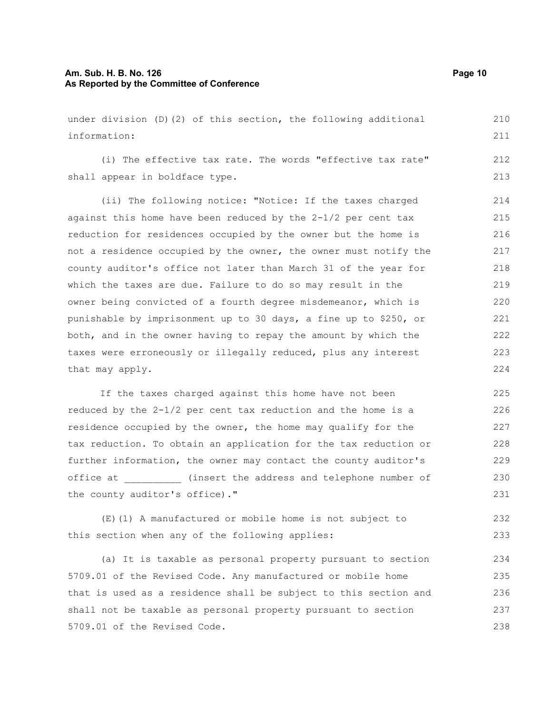#### **Am. Sub. H. B. No. 126 Page 10 As Reported by the Committee of Conference**

under division (D)(2) of this section, the following additional information: (i) The effective tax rate. The words "effective tax rate" shall appear in boldface type. (ii) The following notice: "Notice: If the taxes charged against this home have been reduced by the 2-1/2 per cent tax reduction for residences occupied by the owner but the home is not a residence occupied by the owner, the owner must notify the county auditor's office not later than March 31 of the year for which the taxes are due. Failure to do so may result in the owner being convicted of a fourth degree misdemeanor, which is punishable by imprisonment up to 30 days, a fine up to \$250, or both, and in the owner having to repay the amount by which the taxes were erroneously or illegally reduced, plus any interest that may apply. 210 211 212 213 214 215 216 217 218 219 220 221 222 223 224

If the taxes charged against this home have not been reduced by the 2-1/2 per cent tax reduction and the home is a residence occupied by the owner, the home may qualify for the tax reduction. To obtain an application for the tax reduction or further information, the owner may contact the county auditor's office at \_\_\_\_\_\_\_\_\_\_ (insert the address and telephone number of the county auditor's office)." 225 226 227 228 229 230 231

(E)(1) A manufactured or mobile home is not subject to this section when any of the following applies: 232 233

(a) It is taxable as personal property pursuant to section 5709.01 of the Revised Code. Any manufactured or mobile home that is used as a residence shall be subject to this section and shall not be taxable as personal property pursuant to section 5709.01 of the Revised Code. 234 235 236 237 238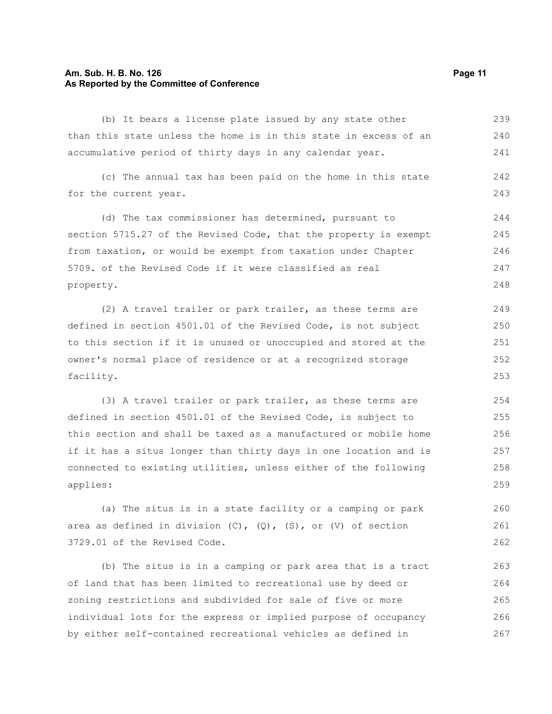#### **Am. Sub. H. B. No. 126 Page 11 As Reported by the Committee of Conference**

(b) It bears a license plate issued by any state other than this state unless the home is in this state in excess of an accumulative period of thirty days in any calendar year. 239 240 241

(c) The annual tax has been paid on the home in this state for the current year. 242 243

(d) The tax commissioner has determined, pursuant to section 5715.27 of the Revised Code, that the property is exempt from taxation, or would be exempt from taxation under Chapter 5709. of the Revised Code if it were classified as real property. 244 245 246 247 248

(2) A travel trailer or park trailer, as these terms are defined in section 4501.01 of the Revised Code, is not subject to this section if it is unused or unoccupied and stored at the owner's normal place of residence or at a recognized storage facility.

(3) A travel trailer or park trailer, as these terms are defined in section 4501.01 of the Revised Code, is subject to this section and shall be taxed as a manufactured or mobile home if it has a situs longer than thirty days in one location and is connected to existing utilities, unless either of the following applies: 254 255 256 257 258 259

(a) The situs is in a state facility or a camping or park area as defined in division  $(C)$ ,  $(Q)$ ,  $(S)$ , or  $(V)$  of section 3729.01 of the Revised Code. 260 261 262

(b) The situs is in a camping or park area that is a tract of land that has been limited to recreational use by deed or zoning restrictions and subdivided for sale of five or more individual lots for the express or implied purpose of occupancy by either self-contained recreational vehicles as defined in 263 264 265 266 267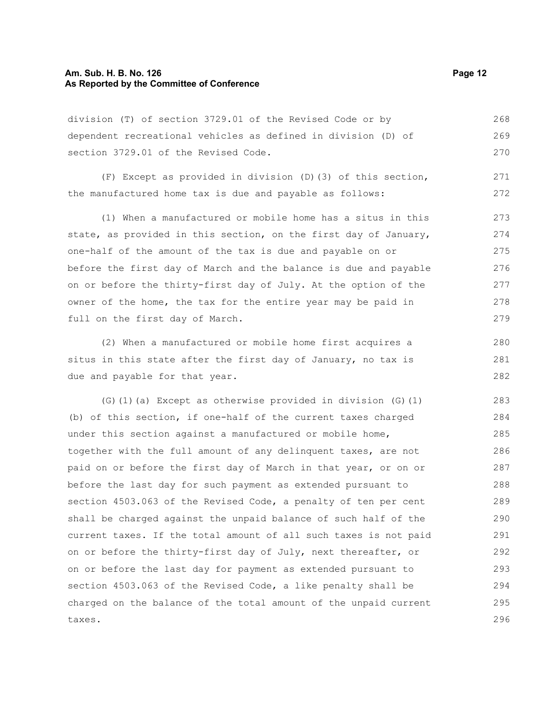#### **Am. Sub. H. B. No. 126 Page 12 As Reported by the Committee of Conference**

division (T) of section 3729.01 of the Revised Code or by dependent recreational vehicles as defined in division (D) of section 3729.01 of the Revised Code. 268 269 270

(F) Except as provided in division (D)(3) of this section, the manufactured home tax is due and payable as follows: 271 272

(1) When a manufactured or mobile home has a situs in this state, as provided in this section, on the first day of January, one-half of the amount of the tax is due and payable on or before the first day of March and the balance is due and payable on or before the thirty-first day of July. At the option of the owner of the home, the tax for the entire year may be paid in full on the first day of March. 273 274 275 276 277 278 279

(2) When a manufactured or mobile home first acquires a situs in this state after the first day of January, no tax is due and payable for that year.

(G)(1)(a) Except as otherwise provided in division (G)(1) (b) of this section, if one-half of the current taxes charged under this section against a manufactured or mobile home, together with the full amount of any delinquent taxes, are not paid on or before the first day of March in that year, or on or before the last day for such payment as extended pursuant to section 4503.063 of the Revised Code, a penalty of ten per cent shall be charged against the unpaid balance of such half of the current taxes. If the total amount of all such taxes is not paid on or before the thirty-first day of July, next thereafter, or on or before the last day for payment as extended pursuant to section 4503.063 of the Revised Code, a like penalty shall be charged on the balance of the total amount of the unpaid current taxes. 283 284 285 286 287 288 289 290 291 292 293 294 295 296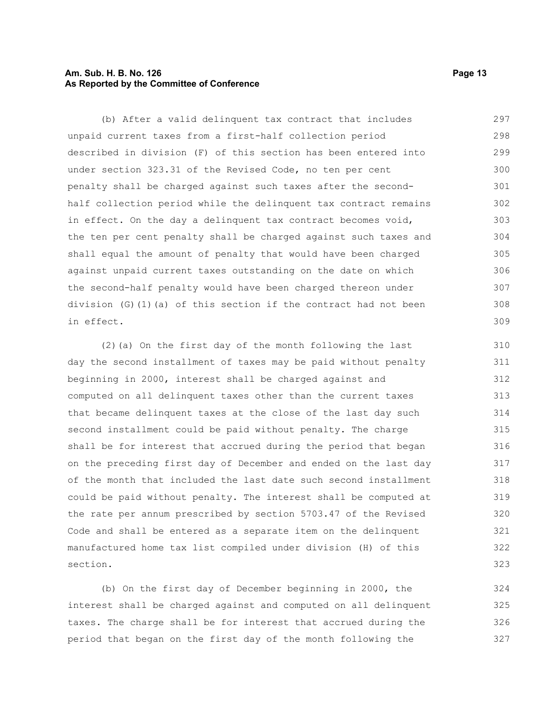#### **Am. Sub. H. B. No. 126 Page 13 As Reported by the Committee of Conference**

(b) After a valid delinquent tax contract that includes unpaid current taxes from a first-half collection period described in division (F) of this section has been entered into under section 323.31 of the Revised Code, no ten per cent penalty shall be charged against such taxes after the secondhalf collection period while the delinquent tax contract remains in effect. On the day a delinquent tax contract becomes void, the ten per cent penalty shall be charged against such taxes and shall equal the amount of penalty that would have been charged against unpaid current taxes outstanding on the date on which the second-half penalty would have been charged thereon under division (G)(1)(a) of this section if the contract had not been in effect. 297 298 299 300 301 302 303 304 305 306 307 308 309

(2)(a) On the first day of the month following the last day the second installment of taxes may be paid without penalty beginning in 2000, interest shall be charged against and computed on all delinquent taxes other than the current taxes that became delinquent taxes at the close of the last day such second installment could be paid without penalty. The charge shall be for interest that accrued during the period that began on the preceding first day of December and ended on the last day of the month that included the last date such second installment could be paid without penalty. The interest shall be computed at the rate per annum prescribed by section 5703.47 of the Revised Code and shall be entered as a separate item on the delinquent manufactured home tax list compiled under division (H) of this section. 310 313 314 315 316 317 318

(b) On the first day of December beginning in 2000, the interest shall be charged against and computed on all delinquent taxes. The charge shall be for interest that accrued during the period that began on the first day of the month following the 324 325 326 327

311 312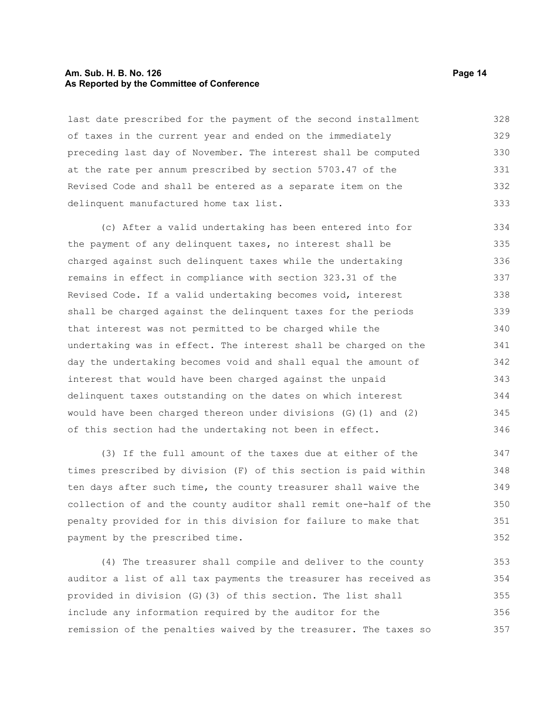#### **Am. Sub. H. B. No. 126 Page 14 As Reported by the Committee of Conference**

last date prescribed for the payment of the second installment of taxes in the current year and ended on the immediately preceding last day of November. The interest shall be computed at the rate per annum prescribed by section 5703.47 of the Revised Code and shall be entered as a separate item on the delinquent manufactured home tax list. 328 329 330 331 332 333

(c) After a valid undertaking has been entered into for the payment of any delinquent taxes, no interest shall be charged against such delinquent taxes while the undertaking remains in effect in compliance with section 323.31 of the Revised Code. If a valid undertaking becomes void, interest shall be charged against the delinquent taxes for the periods that interest was not permitted to be charged while the undertaking was in effect. The interest shall be charged on the day the undertaking becomes void and shall equal the amount of interest that would have been charged against the unpaid delinquent taxes outstanding on the dates on which interest would have been charged thereon under divisions (G)(1) and (2) of this section had the undertaking not been in effect. 334 335 336 337 338 339 340 341 342 343 344 345 346

(3) If the full amount of the taxes due at either of the times prescribed by division (F) of this section is paid within ten days after such time, the county treasurer shall waive the collection of and the county auditor shall remit one-half of the penalty provided for in this division for failure to make that payment by the prescribed time.

(4) The treasurer shall compile and deliver to the county auditor a list of all tax payments the treasurer has received as provided in division (G)(3) of this section. The list shall include any information required by the auditor for the remission of the penalties waived by the treasurer. The taxes so 353 354 355 356 357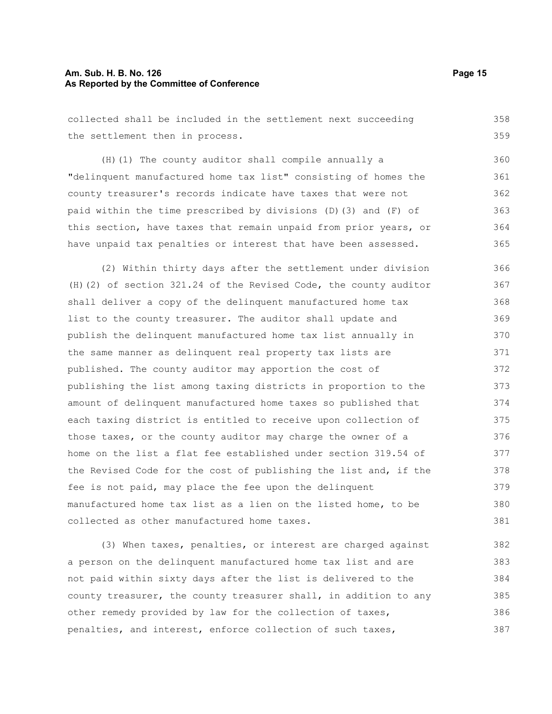#### **Am. Sub. H. B. No. 126 Page 15 As Reported by the Committee of Conference**

collected shall be included in the settlement next succeeding the settlement then in process. (H)(1) The county auditor shall compile annually a "delinquent manufactured home tax list" consisting of homes the county treasurer's records indicate have taxes that were not paid within the time prescribed by divisions (D)(3) and (F) of this section, have taxes that remain unpaid from prior years, or have unpaid tax penalties or interest that have been assessed. (2) Within thirty days after the settlement under division (H)(2) of section 321.24 of the Revised Code, the county auditor shall deliver a copy of the delinquent manufactured home tax list to the county treasurer. The auditor shall update and publish the delinquent manufactured home tax list annually in the same manner as delinquent real property tax lists are published. The county auditor may apportion the cost of publishing the list among taxing districts in proportion to the amount of delinquent manufactured home taxes so published that each taxing district is entitled to receive upon collection of those taxes, or the county auditor may charge the owner of a home on the list a flat fee established under section 319.54 of the Revised Code for the cost of publishing the list and, if the fee is not paid, may place the fee upon the delinquent manufactured home tax list as a lien on the listed home, to be collected as other manufactured home taxes. 358 359 360 361 362 363 364 365 366 367 368 369 370 371 372 373 374 375 376 377 378 379 380 381

(3) When taxes, penalties, or interest are charged against a person on the delinquent manufactured home tax list and are not paid within sixty days after the list is delivered to the county treasurer, the county treasurer shall, in addition to any other remedy provided by law for the collection of taxes, penalties, and interest, enforce collection of such taxes, 382 383 384 385 386 387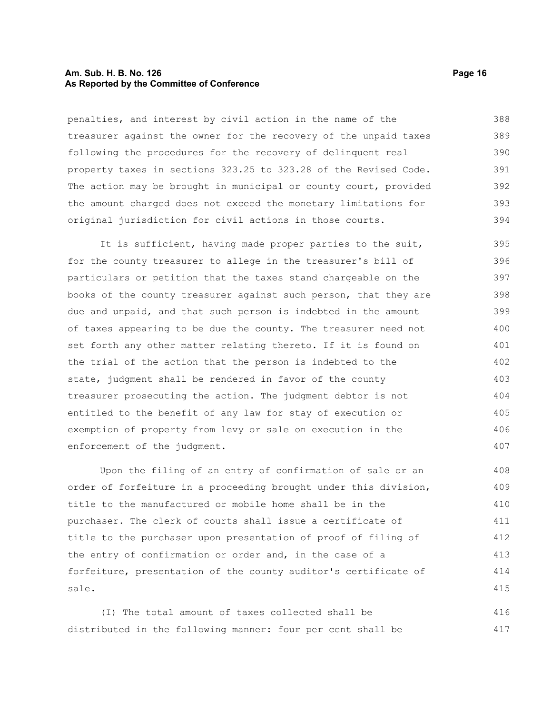#### **Am. Sub. H. B. No. 126 Page 16 As Reported by the Committee of Conference**

penalties, and interest by civil action in the name of the treasurer against the owner for the recovery of the unpaid taxes following the procedures for the recovery of delinquent real property taxes in sections 323.25 to 323.28 of the Revised Code. The action may be brought in municipal or county court, provided the amount charged does not exceed the monetary limitations for original jurisdiction for civil actions in those courts. 388 389 390 391 392 393 394

It is sufficient, having made proper parties to the suit, for the county treasurer to allege in the treasurer's bill of particulars or petition that the taxes stand chargeable on the books of the county treasurer against such person, that they are due and unpaid, and that such person is indebted in the amount of taxes appearing to be due the county. The treasurer need not set forth any other matter relating thereto. If it is found on the trial of the action that the person is indebted to the state, judgment shall be rendered in favor of the county treasurer prosecuting the action. The judgment debtor is not entitled to the benefit of any law for stay of execution or exemption of property from levy or sale on execution in the enforcement of the judgment. 395 396 397 398 399 400 401 402 403 404 405 406 407

Upon the filing of an entry of confirmation of sale or an order of forfeiture in a proceeding brought under this division, title to the manufactured or mobile home shall be in the purchaser. The clerk of courts shall issue a certificate of title to the purchaser upon presentation of proof of filing of the entry of confirmation or order and, in the case of a forfeiture, presentation of the county auditor's certificate of sale. 408 409 410 411 412 413 414 415

(I) The total amount of taxes collected shall be distributed in the following manner: four per cent shall be 416 417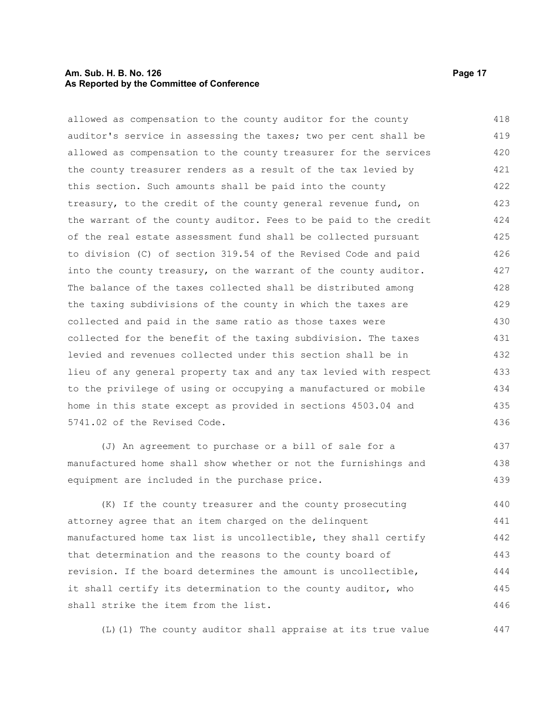#### **Am. Sub. H. B. No. 126 Page 17 As Reported by the Committee of Conference**

allowed as compensation to the county auditor for the county auditor's service in assessing the taxes; two per cent shall be allowed as compensation to the county treasurer for the services the county treasurer renders as a result of the tax levied by this section. Such amounts shall be paid into the county treasury, to the credit of the county general revenue fund, on the warrant of the county auditor. Fees to be paid to the credit of the real estate assessment fund shall be collected pursuant to division (C) of section 319.54 of the Revised Code and paid into the county treasury, on the warrant of the county auditor. The balance of the taxes collected shall be distributed among the taxing subdivisions of the county in which the taxes are collected and paid in the same ratio as those taxes were collected for the benefit of the taxing subdivision. The taxes levied and revenues collected under this section shall be in lieu of any general property tax and any tax levied with respect to the privilege of using or occupying a manufactured or mobile home in this state except as provided in sections 4503.04 and 5741.02 of the Revised Code. 418 419 420 421 422 423 424 425 426 427 428 429 430 431 432 433 434 435 436

(J) An agreement to purchase or a bill of sale for a manufactured home shall show whether or not the furnishings and equipment are included in the purchase price.

(K) If the county treasurer and the county prosecuting attorney agree that an item charged on the delinquent manufactured home tax list is uncollectible, they shall certify that determination and the reasons to the county board of revision. If the board determines the amount is uncollectible, it shall certify its determination to the county auditor, who shall strike the item from the list. 440 441 442 443 444 445 446

(L)(1) The county auditor shall appraise at its true value

437 438 439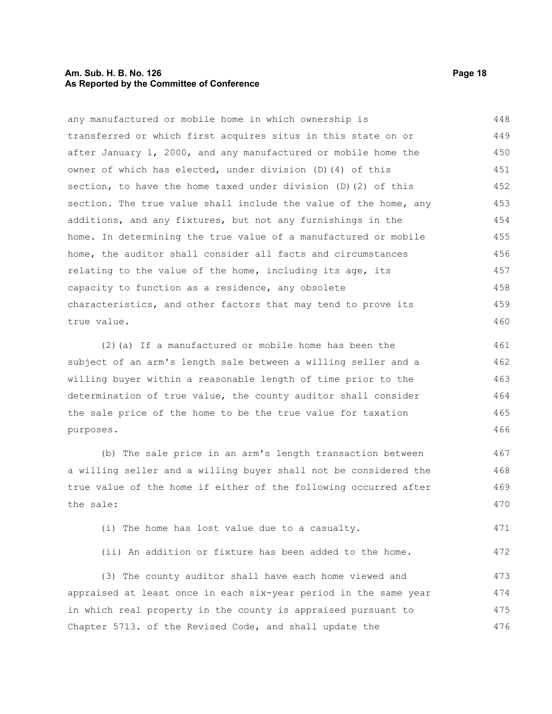#### **Am. Sub. H. B. No. 126 Page 18 As Reported by the Committee of Conference**

any manufactured or mobile home in which ownership is transferred or which first acquires situs in this state on or after January 1, 2000, and any manufactured or mobile home the owner of which has elected, under division (D)(4) of this section, to have the home taxed under division (D)(2) of this section. The true value shall include the value of the home, any additions, and any fixtures, but not any furnishings in the home. In determining the true value of a manufactured or mobile home, the auditor shall consider all facts and circumstances relating to the value of the home, including its age, its capacity to function as a residence, any obsolete characteristics, and other factors that may tend to prove its true value. 448 449 450 451 452 453 454 455 456 457 458 459 460

(2)(a) If a manufactured or mobile home has been the subject of an arm's length sale between a willing seller and a willing buyer within a reasonable length of time prior to the determination of true value, the county auditor shall consider the sale price of the home to be the true value for taxation purposes. 461 462 463 464 465 466

(b) The sale price in an arm's length transaction between a willing seller and a willing buyer shall not be considered the true value of the home if either of the following occurred after the sale: 467 468 469 470

(i) The home has lost value due to a casualty. 471

(ii) An addition or fixture has been added to the home. 472

(3) The county auditor shall have each home viewed and appraised at least once in each six-year period in the same year in which real property in the county is appraised pursuant to Chapter 5713. of the Revised Code, and shall update the 473 474 475 476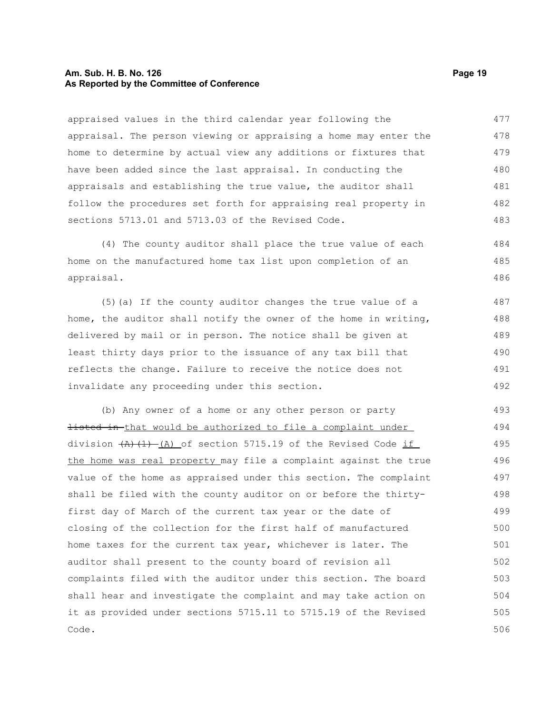#### **Am. Sub. H. B. No. 126 Page 19 As Reported by the Committee of Conference**

appraised values in the third calendar year following the appraisal. The person viewing or appraising a home may enter the home to determine by actual view any additions or fixtures that have been added since the last appraisal. In conducting the appraisals and establishing the true value, the auditor shall follow the procedures set forth for appraising real property in sections 5713.01 and 5713.03 of the Revised Code. 477 478 479 480 481 482 483

(4) The county auditor shall place the true value of each home on the manufactured home tax list upon completion of an appraisal. 484 485 486

(5)(a) If the county auditor changes the true value of a home, the auditor shall notify the owner of the home in writing, delivered by mail or in person. The notice shall be given at least thirty days prior to the issuance of any tax bill that reflects the change. Failure to receive the notice does not invalidate any proceeding under this section. 487 488 489 490 491 492

(b) Any owner of a home or any other person or party listed in that would be authorized to file a complaint under division  $(A)$   $(1)$   $(A)$  of section 5715.19 of the Revised Code if the home was real property may file a complaint against the true value of the home as appraised under this section. The complaint shall be filed with the county auditor on or before the thirtyfirst day of March of the current tax year or the date of closing of the collection for the first half of manufactured home taxes for the current tax year, whichever is later. The auditor shall present to the county board of revision all complaints filed with the auditor under this section. The board shall hear and investigate the complaint and may take action on it as provided under sections 5715.11 to 5715.19 of the Revised Code. 493 494 495 496 497 498 499 500 501 502 503 504 505 506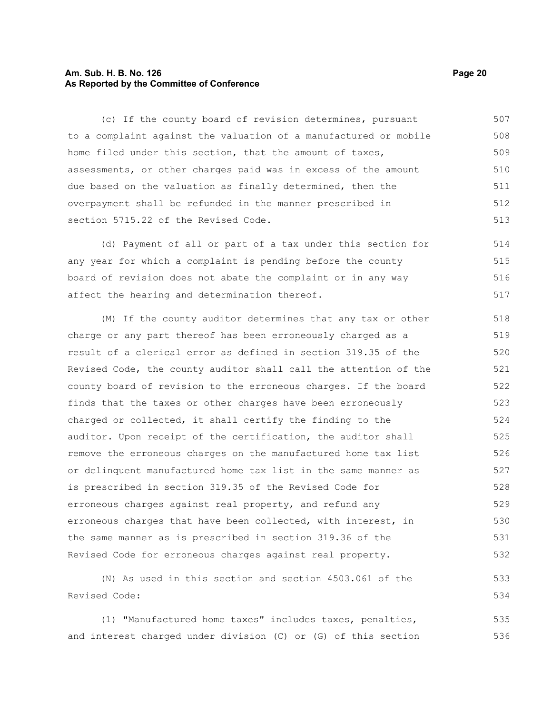#### **Am. Sub. H. B. No. 126 Page 20 As Reported by the Committee of Conference**

(c) If the county board of revision determines, pursuant to a complaint against the valuation of a manufactured or mobile home filed under this section, that the amount of taxes, assessments, or other charges paid was in excess of the amount due based on the valuation as finally determined, then the overpayment shall be refunded in the manner prescribed in section 5715.22 of the Revised Code. 507 508 509 510 511 512 513

(d) Payment of all or part of a tax under this section for any year for which a complaint is pending before the county board of revision does not abate the complaint or in any way affect the hearing and determination thereof. 514 515 516 517

(M) If the county auditor determines that any tax or other charge or any part thereof has been erroneously charged as a result of a clerical error as defined in section 319.35 of the Revised Code, the county auditor shall call the attention of the county board of revision to the erroneous charges. If the board finds that the taxes or other charges have been erroneously charged or collected, it shall certify the finding to the auditor. Upon receipt of the certification, the auditor shall remove the erroneous charges on the manufactured home tax list or delinquent manufactured home tax list in the same manner as is prescribed in section 319.35 of the Revised Code for erroneous charges against real property, and refund any erroneous charges that have been collected, with interest, in the same manner as is prescribed in section 319.36 of the Revised Code for erroneous charges against real property. 518 519 520 521 522 523 524 525 526 527 528 529 530 531 532

(N) As used in this section and section 4503.061 of the Revised Code:

(1) "Manufactured home taxes" includes taxes, penalties, and interest charged under division (C) or (G) of this section 535 536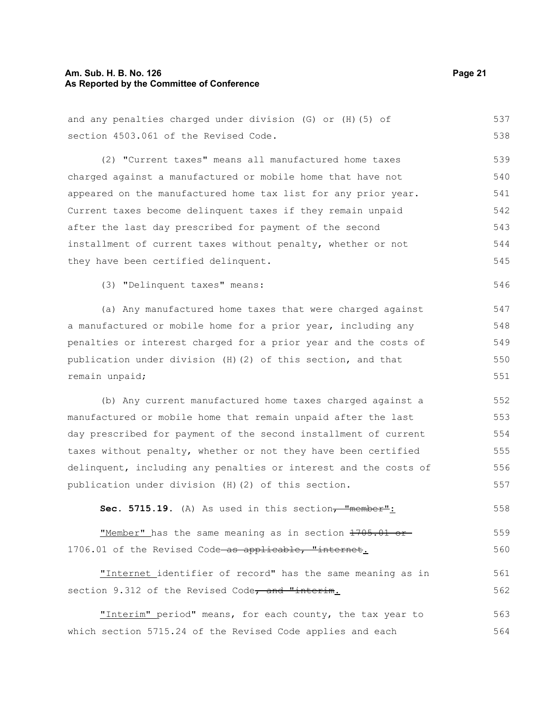#### **Am. Sub. H. B. No. 126 Page 21 As Reported by the Committee of Conference**

and any penalties charged under division (G) or (H)(5) of section 4503.061 of the Revised Code. (2) "Current taxes" means all manufactured home taxes charged against a manufactured or mobile home that have not appeared on the manufactured home tax list for any prior year. Current taxes become delinquent taxes if they remain unpaid after the last day prescribed for payment of the second installment of current taxes without penalty, whether or not they have been certified delinquent. (3) "Delinquent taxes" means: (a) Any manufactured home taxes that were charged against a manufactured or mobile home for a prior year, including any penalties or interest charged for a prior year and the costs of publication under division (H)(2) of this section, and that remain unpaid; 537 538 539 540 541 542 543 544 545 546 547 548 549 550 551

(b) Any current manufactured home taxes charged against a manufactured or mobile home that remain unpaid after the last day prescribed for payment of the second installment of current taxes without penalty, whether or not they have been certified delinquent, including any penalties or interest and the costs of publication under division (H)(2) of this section. 552 553 554 555 556 557

Sec. 5715.19. (A) As used in this section<del>, "member"</del>: 558

"Member" has the same meaning as in section 1705.01 or 1706.01 of the Revised Code-as applicable, "internet. 559 560

"Internet identifier of record" has the same meaning as in section 9.312 of the Revised Code, and "interim. 561 562

"Interim" period" means, for each county, the tax year to which section 5715.24 of the Revised Code applies and each 563 564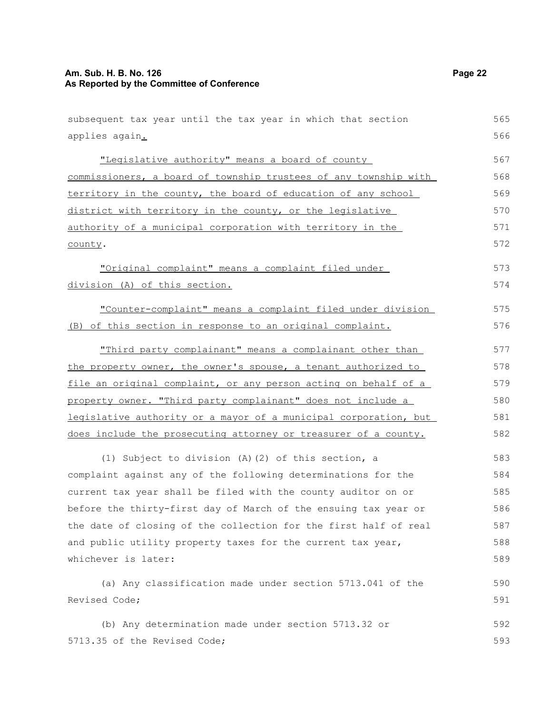## **Am. Sub. H. B. No. 126 Page 22 As Reported by the Committee of Conference**

| subsequent tax year until the tax year in which that section     | 565 |
|------------------------------------------------------------------|-----|
| applies again.                                                   | 566 |
| "Legislative authority" means a board of county                  | 567 |
| commissioners, a board of township trustees of any township with | 568 |
| territory in the county, the board of education of any school    | 569 |
| district with territory in the county, or the legislative        | 570 |
| authority of a municipal corporation with territory in the       | 571 |
| county.                                                          | 572 |
| "Original complaint" means a complaint filed under               | 573 |
| division (A) of this section.                                    | 574 |
| "Counter-complaint" means a complaint filed under division       | 575 |
| (B) of this section in response to an original complaint.        | 576 |
| "Third party complainant" means a complainant other than         | 577 |
| the property owner, the owner's spouse, a tenant authorized to   | 578 |
| file an original complaint, or any person acting on behalf of a  | 579 |
| property owner. "Third party complainant" does not include a     | 580 |
| legislative authority or a mayor of a municipal corporation, but | 581 |
| does include the prosecuting attorney or treasurer of a county.  | 582 |
| (1) Subject to division (A) (2) of this section, a               | 583 |
| complaint against any of the following determinations for the    | 584 |
| current tax year shall be filed with the county auditor on or    | 585 |
| before the thirty-first day of March of the ensuing tax year or  | 586 |
| the date of closing of the collection for the first half of real | 587 |
| and public utility property taxes for the current tax year,      | 588 |
| whichever is later:                                              | 589 |
| (a) Any classification made under section 5713.041 of the        | 590 |
| Revised Code;                                                    | 591 |
| (b) Any determination made under section 5713.32 or              | 592 |
| 5713.35 of the Revised Code;                                     | 593 |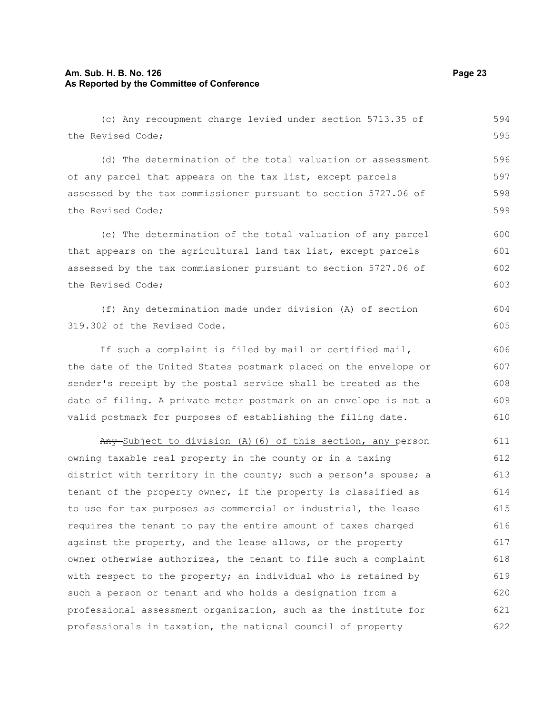#### **Am. Sub. H. B. No. 126 Page 23 As Reported by the Committee of Conference**

(c) Any recoupment charge levied under section 5713.35 of the Revised Code; (d) The determination of the total valuation or assessment of any parcel that appears on the tax list, except parcels assessed by the tax commissioner pursuant to section 5727.06 of the Revised Code; (e) The determination of the total valuation of any parcel that appears on the agricultural land tax list, except parcels assessed by the tax commissioner pursuant to section 5727.06 of the Revised Code; (f) Any determination made under division (A) of section 319.302 of the Revised Code. If such a complaint is filed by mail or certified mail, the date of the United States postmark placed on the envelope or sender's receipt by the postal service shall be treated as the date of filing. A private meter postmark on an envelope is not a valid postmark for purposes of establishing the filing date. Any-Subject to division (A)(6) of this section, any person 594 595 596 597 598 599 600 601 602 603 604 605 606 607 608 609 610 611 612

owning taxable real property in the county or in a taxing district with territory in the county; such a person's spouse; a tenant of the property owner, if the property is classified as to use for tax purposes as commercial or industrial, the lease requires the tenant to pay the entire amount of taxes charged against the property, and the lease allows, or the property owner otherwise authorizes, the tenant to file such a complaint with respect to the property; an individual who is retained by such a person or tenant and who holds a designation from a professional assessment organization, such as the institute for professionals in taxation, the national council of property 613 614 615 616 617 618 619 620 621 622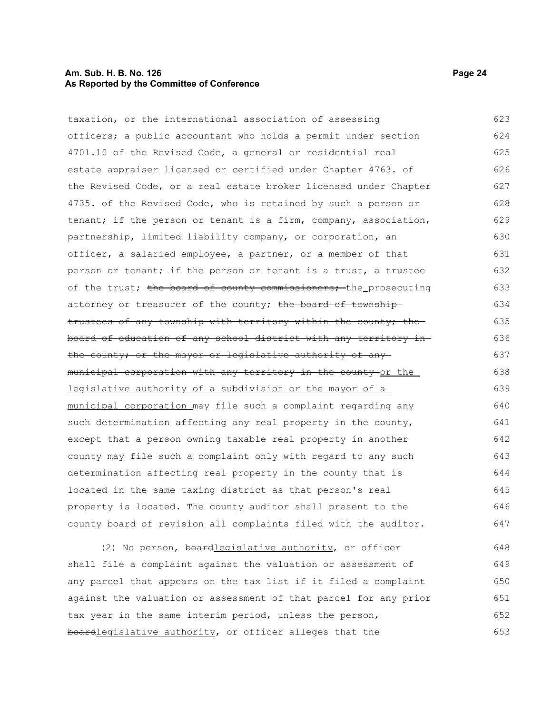#### **Am. Sub. H. B. No. 126 Page 24 As Reported by the Committee of Conference**

taxation, or the international association of assessing officers; a public accountant who holds a permit under section 4701.10 of the Revised Code, a general or residential real estate appraiser licensed or certified under Chapter 4763. of the Revised Code, or a real estate broker licensed under Chapter 4735. of the Revised Code, who is retained by such a person or tenant; if the person or tenant is a firm, company, association, partnership, limited liability company, or corporation, an officer, a salaried employee, a partner, or a member of that person or tenant; if the person or tenant is a trust, a trustee of the trust; the board of county commissioners; the prosecuting attorney or treasurer of the county; the board of townshiptrustees of any township with territory within the county; the board of education of any school district with any territory in the county; or the mayor or legislative authority of anymunicipal corporation with any territory in the county or the legislative authority of a subdivision or the mayor of a municipal corporation may file such a complaint regarding any such determination affecting any real property in the county, except that a person owning taxable real property in another county may file such a complaint only with regard to any such determination affecting real property in the county that is located in the same taxing district as that person's real property is located. The county auditor shall present to the county board of revision all complaints filed with the auditor. (2) No person, boardlegislative authority, or officer 623 624 625 626 627 628 629 630 631 632 633 634 635 636 637 638 639 640 641 642 643 644 645 646 647 648

shall file a complaint against the valuation or assessment of any parcel that appears on the tax list if it filed a complaint against the valuation or assessment of that parcel for any prior tax year in the same interim period, unless the person, boardlegislative authority, or officer alleges that the 649 650 651 652 653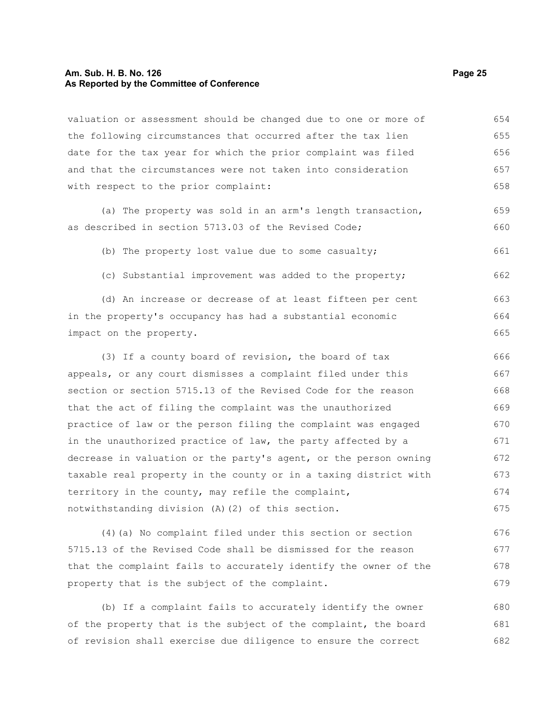#### **Am. Sub. H. B. No. 126 Page 25 As Reported by the Committee of Conference**

valuation or assessment should be changed due to one or more of the following circumstances that occurred after the tax lien date for the tax year for which the prior complaint was filed and that the circumstances were not taken into consideration with respect to the prior complaint: 654 655 656 657 658

(a) The property was sold in an arm's length transaction, as described in section 5713.03 of the Revised Code; 659 660

(b) The property lost value due to some casualty;

(c) Substantial improvement was added to the property;

(d) An increase or decrease of at least fifteen per cent in the property's occupancy has had a substantial economic impact on the property. 663 664 665

(3) If a county board of revision, the board of tax appeals, or any court dismisses a complaint filed under this section or section 5715.13 of the Revised Code for the reason that the act of filing the complaint was the unauthorized practice of law or the person filing the complaint was engaged in the unauthorized practice of law, the party affected by a decrease in valuation or the party's agent, or the person owning taxable real property in the county or in a taxing district with territory in the county, may refile the complaint, notwithstanding division (A)(2) of this section. 666 667 668 669 670 671 672 673 674 675

(4)(a) No complaint filed under this section or section 5715.13 of the Revised Code shall be dismissed for the reason that the complaint fails to accurately identify the owner of the property that is the subject of the complaint. 676 677 678 679

(b) If a complaint fails to accurately identify the owner of the property that is the subject of the complaint, the board of revision shall exercise due diligence to ensure the correct 680 681 682

661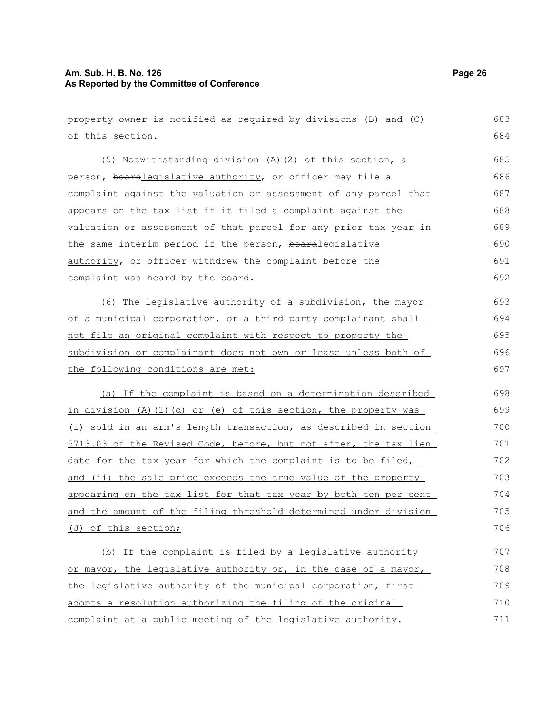#### **Am. Sub. H. B. No. 126 Page 26 As Reported by the Committee of Conference**

property owner is notified as required by divisions (B) and (C) of this section. (5) Notwithstanding division (A)(2) of this section, a person, boardlegislative authority, or officer may file a complaint against the valuation or assessment of any parcel that appears on the tax list if it filed a complaint against the valuation or assessment of that parcel for any prior tax year in the same interim period if the person, boardlegislative authority, or officer withdrew the complaint before the complaint was heard by the board. (6) The legislative authority of a subdivision, the mayor of a municipal corporation, or a third party complainant shall not file an original complaint with respect to property the subdivision or complainant does not own or lease unless both of the following conditions are met: (a) If the complaint is based on a determination described in division (A)(1)(d) or (e) of this section, the property was (i) sold in an arm's length transaction, as described in section 5713.03 of the Revised Code, before, but not after, the tax lien date for the tax year for which the complaint is to be filed, and (ii) the sale price exceeds the true value of the property appearing on the tax list for that tax year by both ten per cent and the amount of the filing threshold determined under division (J) of this section; (b) If the complaint is filed by a legislative authority or mayor, the legislative authority or, in the case of a mayor, the legislative authority of the municipal corporation, first adopts a resolution authorizing the filing of the original complaint at a public meeting of the legislative authority. 683 684 685 686 687 688 689 690 691 692 693 694 695 696 697 698 699 700 701 702 703 704 705 706 707 708 709 710 711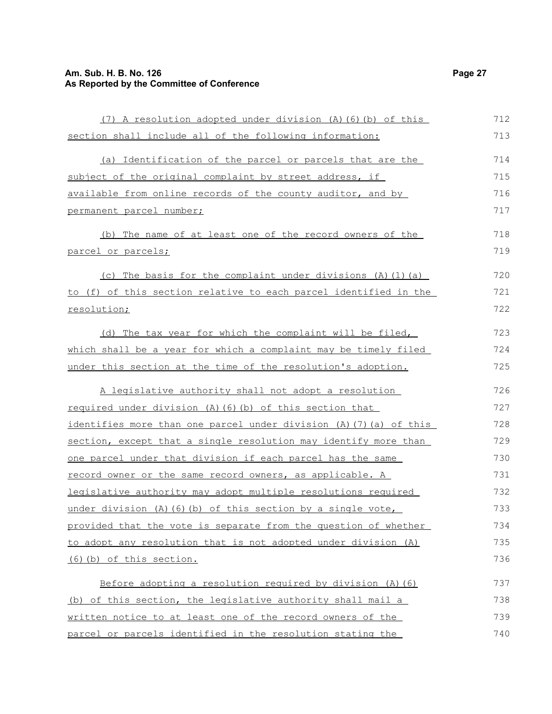## **Am. Sub. H. B. No. 126 Page 27 As Reported by the Committee of Conference**

| (7) A resolution adopted under division (A) (6) (b) of this        | 712 |
|--------------------------------------------------------------------|-----|
| section shall include all of the following information:            | 713 |
| (a) Identification of the parcel or parcels that are the           | 714 |
| subject of the original complaint by street address, if            | 715 |
| available from online records of the county auditor, and by        | 716 |
| permanent parcel number;                                           | 717 |
| (b) The name of at least one of the record owners of the           | 718 |
| parcel or parcels;                                                 | 719 |
| (c) The basis for the complaint under divisions (A) (1) (a)        | 720 |
| to (f) of this section relative to each parcel identified in the   | 721 |
| resolution;                                                        | 722 |
| (d) The tax year for which the complaint will be filed,            | 723 |
| which shall be a year for which a complaint may be timely filed    | 724 |
| under this section at the time of the resolution's adoption.       | 725 |
| A legislative authority shall not adopt a resolution               | 726 |
| required under division (A) (6) (b) of this section that           | 727 |
| identifies more than one parcel under division (A) (7) (a) of this | 728 |
| section, except that a single resolution may identify more than    | 729 |
| one parcel under that division if each parcel has the same         | 730 |
| record owner or the same record owners, as applicable. A           | 731 |
| legislative authority may adopt multiple resolutions required      | 732 |
| under division $(A)$ $(6)$ $(b)$ of this section by a single vote, | 733 |
| provided that the vote is separate from the question of whether    | 734 |
| to adopt any resolution that is not adopted under division (A)     | 735 |
| (6) (b) of this section.                                           | 736 |
| Before adopting a resolution required by division $(A)$ $(6)$      | 737 |
| (b) of this section, the legislative authority shall mail a        | 738 |
| written notice to at least one of the record owners of the         | 739 |
| parcel or parcels identified in the resolution stating the         | 740 |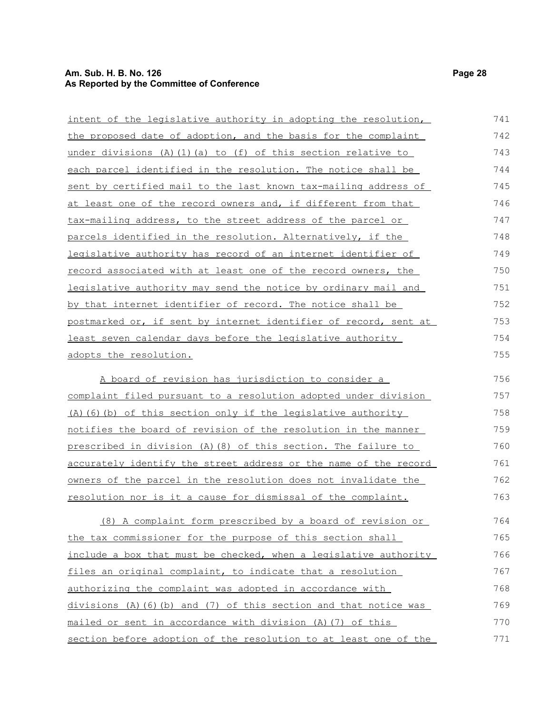## **Am. Sub. H. B. No. 126 Page 28 As Reported by the Committee of Conference**

| intent of the legislative authority in adopting the resolution,        | 741 |
|------------------------------------------------------------------------|-----|
| the proposed date of adoption, and the basis for the complaint         | 742 |
| under divisions (A)(1)(a) to (f) of this section relative to           | 743 |
| <u>each parcel identified in the resolution. The notice shall be </u>  | 744 |
| sent by certified mail to the last known tax-mailing address of        | 745 |
| at least one of the record owners and, if different from that          | 746 |
| tax-mailing address, to the street address of the parcel or            | 747 |
| parcels identified in the resolution. Alternatively, if the            | 748 |
| <u>legislative authority has record of an internet identifier of </u>  | 749 |
| record associated with at least one of the record owners, the          | 750 |
| <u>legislative authority may send the notice by ordinary mail and </u> | 751 |
| <u>by that internet identifier of record. The notice shall be </u>     | 752 |
| postmarked or, if sent by internet identifier of record, sent at       | 753 |
| least seven calendar days before the legislative authority             | 754 |
| adopts the resolution.                                                 | 755 |
| A board of revision has jurisdiction to consider a                     | 756 |
| complaint filed pursuant to a resolution adopted under division        | 757 |
| (A) (6) (b) of this section only if the legislative authority          | 758 |
| <u>notifies the board of revision of the resolution in the manner </u> | 759 |
| prescribed in division (A)(8) of this section. The failure to          | 760 |
| accurately identify the street address or the name of the record       | 761 |
| <u>owners of the parcel in the resolution does not invalidate the </u> | 762 |
| <u>resolution nor is it a cause for dismissal of the complaint.</u>    | 763 |
| (8) A complaint form prescribed by a board of revision or              | 764 |
| the tax commissioner for the purpose of this section shall             | 765 |
| include a box that must be checked, when a legislative authority       | 766 |
| files an original complaint, to indicate that a resolution             | 767 |
| authorizing the complaint was adopted in accordance with               | 768 |
| divisions (A)(6)(b) and (7) of this section and that notice was        | 769 |
| mailed or sent in accordance with division (A)(7) of this              | 770 |
| section before adoption of the resolution to at least one of the       | 771 |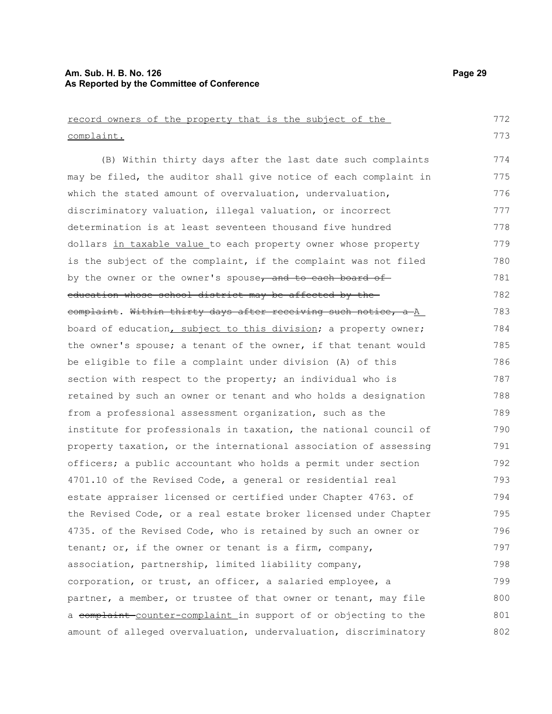#### **Am. Sub. H. B. No. 126 Page 29 As Reported by the Committee of Conference**

record owners of the property that is the subject of the complaint. (B) Within thirty days after the last date such complaints may be filed, the auditor shall give notice of each complaint in which the stated amount of overvaluation, undervaluation, discriminatory valuation, illegal valuation, or incorrect determination is at least seventeen thousand five hundred dollars in taxable value to each property owner whose property is the subject of the complaint, if the complaint was not filed by the owner or the owner's spouse, and to each board ofeducation whose school district may be affected by the complaint. Within thirty days after receiving such notice, a A board of education, subject to this division; a property owner; the owner's spouse; a tenant of the owner, if that tenant would be eligible to file a complaint under division (A) of this section with respect to the property; an individual who is retained by such an owner or tenant and who holds a designation from a professional assessment organization, such as the institute for professionals in taxation, the national council of property taxation, or the international association of assessing officers; a public accountant who holds a permit under section 4701.10 of the Revised Code, a general or residential real estate appraiser licensed or certified under Chapter 4763. of the Revised Code, or a real estate broker licensed under Chapter 4735. of the Revised Code, who is retained by such an owner or tenant; or, if the owner or tenant is a firm, company, association, partnership, limited liability company, corporation, or trust, an officer, a salaried employee, a partner, a member, or trustee of that owner or tenant, may file a complaint counter-complaint in support of or objecting to the amount of alleged overvaluation, undervaluation, discriminatory 772 773 774 775 776 777 778 779 780 781 782 783 784 785 786 787 788 789 790 791 792 793 794 795 796 797 798 799 800 801 802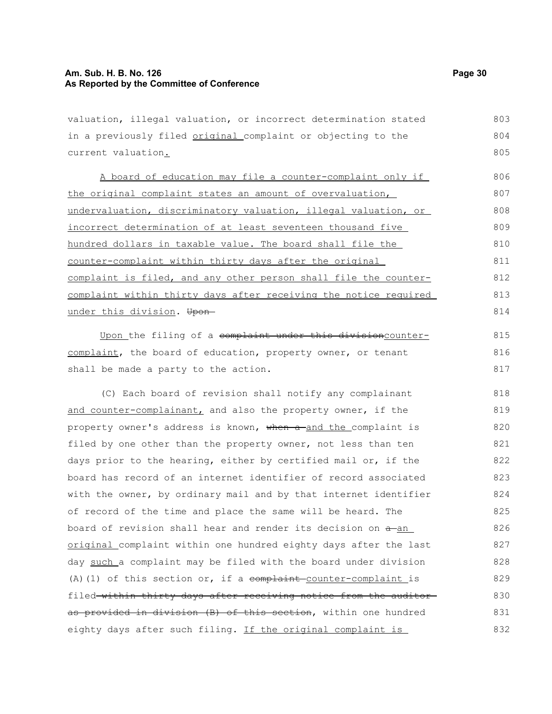#### **Am. Sub. H. B. No. 126 Page 30 As Reported by the Committee of Conference**

valuation, illegal valuation, or incorrect determination stated in a previously filed original complaint or objecting to the current valuation. 803 804 805

A board of education may file a counter-complaint only if the original complaint states an amount of overvaluation, undervaluation, discriminatory valuation, illegal valuation, or incorrect determination of at least seventeen thousand five hundred dollars in taxable value. The board shall file the counter-complaint within thirty days after the original complaint is filed, and any other person shall file the countercomplaint within thirty days after receiving the notice required under this division. Upon-806 807 808 809 810 811 812 813 814

Upon the filing of a complaint under this divisioncountercomplaint, the board of education, property owner, or tenant shall be made a party to the action.

(C) Each board of revision shall notify any complainant and counter-complainant, and also the property owner, if the property owner's address is known, when a and the complaint is filed by one other than the property owner, not less than ten days prior to the hearing, either by certified mail or, if the board has record of an internet identifier of record associated with the owner, by ordinary mail and by that internet identifier of record of the time and place the same will be heard. The board of revision shall hear and render its decision on  $a$ -an original complaint within one hundred eighty days after the last day such a complaint may be filed with the board under division (A)(1) of this section or, if a  $\epsilon$  complaint counter-complaint is filed within thirty days after receiving notice from the auditor as provided in division (B) of this section, within one hundred eighty days after such filing. If the original complaint is 818 819 820 821 822 823 824 825 826 827 828 829 830 831 832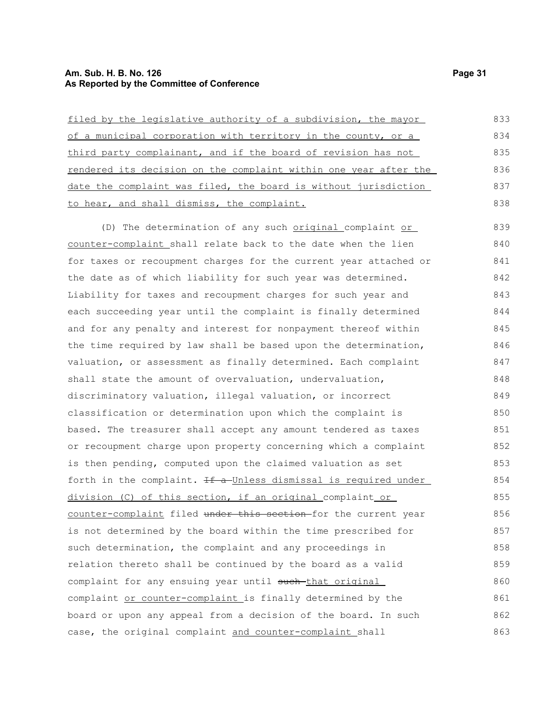## **Am. Sub. H. B. No. 126 Page 31 As Reported by the Committee of Conference**

| filed by the legislative authority of a subdivision, the mayor          | 833 |
|-------------------------------------------------------------------------|-----|
| of a municipal corporation with territory in the county, or a           | 834 |
| third party complainant, and if the board of revision has not           | 835 |
| <u>rendered its decision on the complaint within one year after the</u> | 836 |
| date the complaint was filed, the board is without jurisdiction         | 837 |
| to hear, and shall dismiss, the complaint.                              | 838 |
| (D) The determination of any such original complaint or                 | 839 |
| counter-complaint shall relate back to the date when the lien           | 840 |
| for taxes or recoupment charges for the current year attached or        | 841 |
| the date as of which liability for such year was determined.            | 842 |
| Liability for taxes and recoupment charges for such year and            | 843 |
| each succeeding year until the complaint is finally determined          | 844 |
| and for any penalty and interest for nonpayment thereof within          | 845 |
| the time required by law shall be based upon the determination,         | 846 |
| valuation, or assessment as finally determined. Each complaint          | 847 |
| shall state the amount of overvaluation, undervaluation,                | 848 |
| discriminatory valuation, illegal valuation, or incorrect               | 849 |
| classification or determination upon which the complaint is             | 850 |
| based. The treasurer shall accept any amount tendered as taxes          | 851 |
| or recoupment charge upon property concerning which a complaint         | 852 |
| is then pending, computed upon the claimed valuation as set             | 853 |
| forth in the complaint. If a Unless dismissal is required under         | 854 |
| division (C) of this section, if an original_complaint_or_              | 855 |
| counter-complaint filed under this section-for the current year         | 856 |
| is not determined by the board within the time prescribed for           | 857 |
| such determination, the complaint and any proceedings in                | 858 |
| relation thereto shall be continued by the board as a valid             | 859 |
| complaint for any ensuing year until such that original                 | 860 |
| complaint or counter-complaint is finally determined by the             | 861 |
| board or upon any appeal from a decision of the board. In such          | 862 |
| case, the original complaint and counter-complaint shall                | 863 |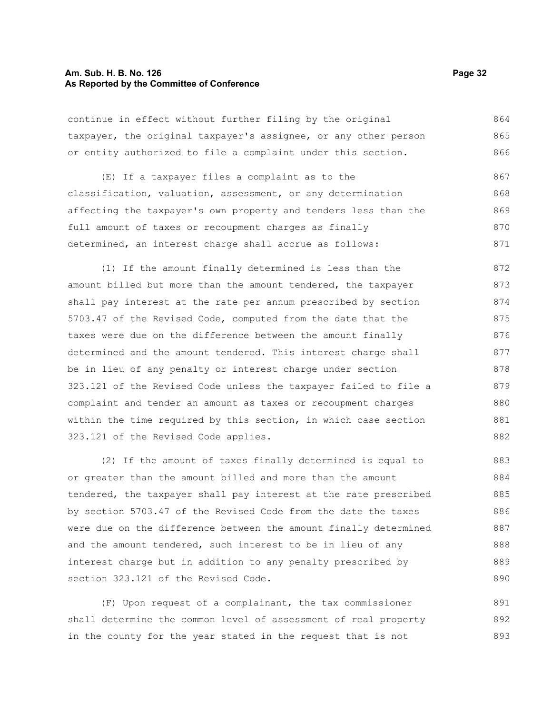#### **Am. Sub. H. B. No. 126 Page 32 As Reported by the Committee of Conference**

continue in effect without further filing by the original taxpayer, the original taxpayer's assignee, or any other person or entity authorized to file a complaint under this section. 864 865 866

(E) If a taxpayer files a complaint as to the classification, valuation, assessment, or any determination affecting the taxpayer's own property and tenders less than the full amount of taxes or recoupment charges as finally determined, an interest charge shall accrue as follows: 867 868 869 870 871

(1) If the amount finally determined is less than the amount billed but more than the amount tendered, the taxpayer shall pay interest at the rate per annum prescribed by section 5703.47 of the Revised Code, computed from the date that the taxes were due on the difference between the amount finally determined and the amount tendered. This interest charge shall be in lieu of any penalty or interest charge under section 323.121 of the Revised Code unless the taxpayer failed to file a complaint and tender an amount as taxes or recoupment charges within the time required by this section, in which case section 323.121 of the Revised Code applies. 872 873 874 875 876 877 878 879 880 881 882

(2) If the amount of taxes finally determined is equal to or greater than the amount billed and more than the amount tendered, the taxpayer shall pay interest at the rate prescribed by section 5703.47 of the Revised Code from the date the taxes were due on the difference between the amount finally determined and the amount tendered, such interest to be in lieu of any interest charge but in addition to any penalty prescribed by section 323.121 of the Revised Code. 883 884 885 886 887 888 889 890

(F) Upon request of a complainant, the tax commissioner shall determine the common level of assessment of real property in the county for the year stated in the request that is not 891 892 893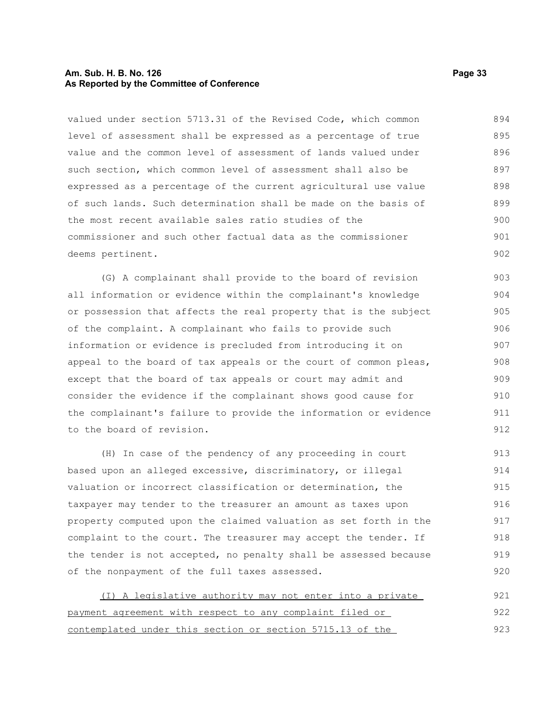#### **Am. Sub. H. B. No. 126 Page 33 As Reported by the Committee of Conference**

valued under section 5713.31 of the Revised Code, which common level of assessment shall be expressed as a percentage of true value and the common level of assessment of lands valued under such section, which common level of assessment shall also be expressed as a percentage of the current agricultural use value of such lands. Such determination shall be made on the basis of the most recent available sales ratio studies of the commissioner and such other factual data as the commissioner deems pertinent. 894 895 896 897 898 899 900 901 902

(G) A complainant shall provide to the board of revision all information or evidence within the complainant's knowledge or possession that affects the real property that is the subject of the complaint. A complainant who fails to provide such information or evidence is precluded from introducing it on appeal to the board of tax appeals or the court of common pleas, except that the board of tax appeals or court may admit and consider the evidence if the complainant shows good cause for the complainant's failure to provide the information or evidence to the board of revision. 903 904 905 906 907 908 909 910 911 912

(H) In case of the pendency of any proceeding in court based upon an alleged excessive, discriminatory, or illegal valuation or incorrect classification or determination, the taxpayer may tender to the treasurer an amount as taxes upon property computed upon the claimed valuation as set forth in the complaint to the court. The treasurer may accept the tender. If the tender is not accepted, no penalty shall be assessed because of the nonpayment of the full taxes assessed. 913 914 915 916 917 918 919 920

(I) A legislative authority may not enter into a private payment agreement with respect to any complaint filed or contemplated under this section or section 5715.13 of the 921 922 923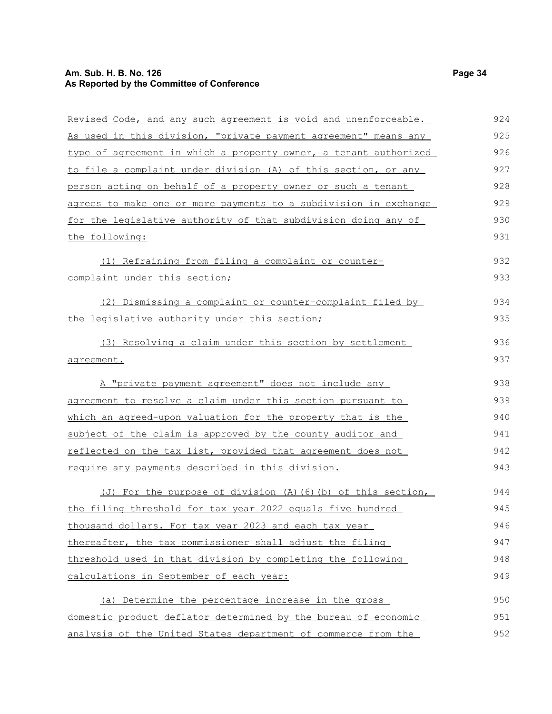## **Am. Sub. H. B. No. 126 Page 34 As Reported by the Committee of Conference**

| Revised Code, and any such agreement is void and unenforceable.  | 924 |
|------------------------------------------------------------------|-----|
| As used in this division, "private payment agreement" means any  | 925 |
| type of agreement in which a property owner, a tenant authorized | 926 |
| to file a complaint under division (A) of this section, or any   | 927 |
| person acting on behalf of a property owner or such a tenant     | 928 |
| agrees to make one or more payments to a subdivision in exchange | 929 |
| for the legislative authority of that subdivision doing any of   | 930 |
| the following:                                                   | 931 |
| (1) Refraining from filing a complaint or counter-               | 932 |
| complaint under this section;                                    | 933 |
| (2) Dismissing a complaint or counter-complaint filed by         | 934 |
| the legislative authority under this section;                    | 935 |
| (3) Resolving a claim under this section by settlement           | 936 |
| agreement.                                                       | 937 |
| A "private payment agreement" does not include any               | 938 |
| agreement to resolve a claim under this section pursuant to      | 939 |
| which an agreed-upon valuation for the property that is the      | 940 |
| subject of the claim is approved by the county auditor and       | 941 |
| reflected on the tax list, provided that agreement does not      | 942 |
| require any payments described in this division.                 | 943 |
| (J) For the purpose of division (A) (6) (b) of this section,     | 944 |
| the filing threshold for tax year 2022 equals five hundred       | 945 |
| thousand dollars. For tax year 2023 and each tax year            | 946 |
| thereafter, the tax commissioner shall adjust the filing         | 947 |
| threshold used in that division by completing the following      | 948 |
| calculations in September of each year:                          | 949 |
| (a) Determine the percentage increase in the gross               | 950 |
| domestic product deflator determined by the bureau of economic   | 951 |
| analysis of the United States department of commerce from the    | 952 |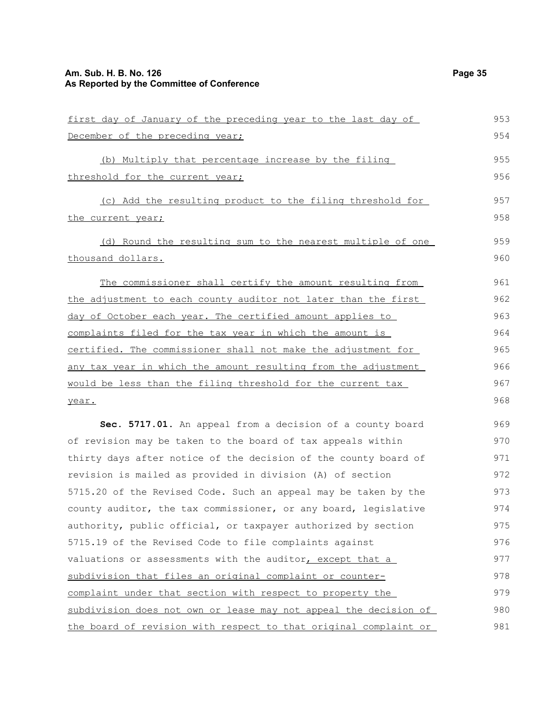## **Am. Sub. H. B. No. 126 Page 35 As Reported by the Committee of Conference**

| first day of January of the preceding year to the last day of    | 953 |
|------------------------------------------------------------------|-----|
| December of the preceding year;                                  | 954 |
| (b) Multiply that percentage increase by the filing              | 955 |
| threshold for the current year;                                  | 956 |
| (c) Add the resulting product to the filing threshold for        | 957 |
| the current year;                                                | 958 |
| (d) Round the resulting sum to the nearest multiple of one       | 959 |
| thousand dollars.                                                | 960 |
| The commissioner shall certify the amount resulting from         | 961 |
| the adjustment to each county auditor not later than the first   | 962 |
| day of October each year. The certified amount applies to        | 963 |
| complaints filed for the tax year in which the amount is         | 964 |
| certified. The commissioner shall not make the adjustment for    | 965 |
| any tax year in which the amount resulting from the adjustment   | 966 |
| would be less than the filing threshold for the current tax      | 967 |
| year.                                                            | 968 |
| Sec. 5717.01. An appeal from a decision of a county board        | 969 |
| of revision may be taken to the board of tax appeals within      | 970 |
| thirty days after notice of the decision of the county board of  | 971 |
| revision is mailed as provided in division (A) of section        | 972 |
| 5715.20 of the Revised Code. Such an appeal may be taken by the  | 973 |
| county auditor, the tax commissioner, or any board, legislative  | 974 |
| authority, public official, or taxpayer authorized by section    | 975 |
| 5715.19 of the Revised Code to file complaints against           | 976 |
| valuations or assessments with the auditor, except that a        | 977 |
| subdivision that files an original complaint or counter-         | 978 |
| complaint under that section with respect to property the        | 979 |
| subdivision does not own or lease may not appeal the decision of | 980 |
| the board of revision with respect to that original complaint or | 981 |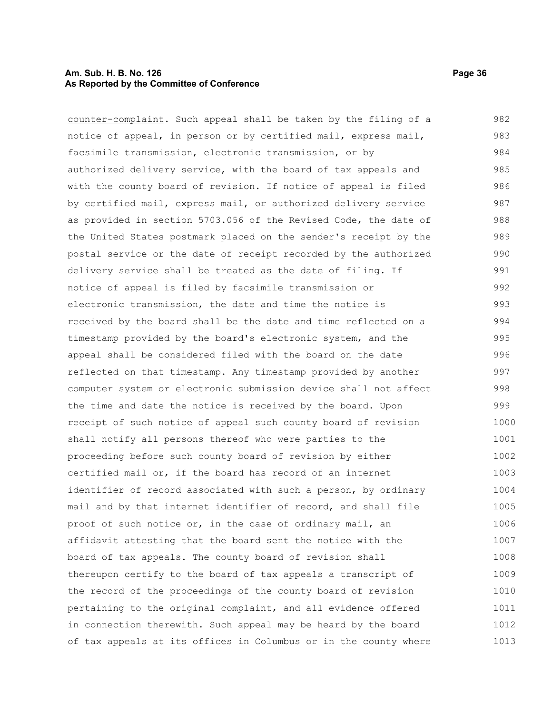#### **Am. Sub. H. B. No. 126 Page 36 As Reported by the Committee of Conference**

counter-complaint. Such appeal shall be taken by the filing of a notice of appeal, in person or by certified mail, express mail, facsimile transmission, electronic transmission, or by authorized delivery service, with the board of tax appeals and with the county board of revision. If notice of appeal is filed by certified mail, express mail, or authorized delivery service as provided in section 5703.056 of the Revised Code, the date of the United States postmark placed on the sender's receipt by the postal service or the date of receipt recorded by the authorized delivery service shall be treated as the date of filing. If notice of appeal is filed by facsimile transmission or electronic transmission, the date and time the notice is received by the board shall be the date and time reflected on a timestamp provided by the board's electronic system, and the appeal shall be considered filed with the board on the date reflected on that timestamp. Any timestamp provided by another computer system or electronic submission device shall not affect the time and date the notice is received by the board. Upon receipt of such notice of appeal such county board of revision shall notify all persons thereof who were parties to the proceeding before such county board of revision by either certified mail or, if the board has record of an internet identifier of record associated with such a person, by ordinary mail and by that internet identifier of record, and shall file proof of such notice or, in the case of ordinary mail, an affidavit attesting that the board sent the notice with the board of tax appeals. The county board of revision shall thereupon certify to the board of tax appeals a transcript of the record of the proceedings of the county board of revision pertaining to the original complaint, and all evidence offered in connection therewith. Such appeal may be heard by the board of tax appeals at its offices in Columbus or in the county where 982 983 984 985 986 987 988 989 990 991 992 993 994 995 996 997 998 999 1000 1001 1002 1003 1004 1005 1006 1007 1008 1009 1010 1011 1012 1013